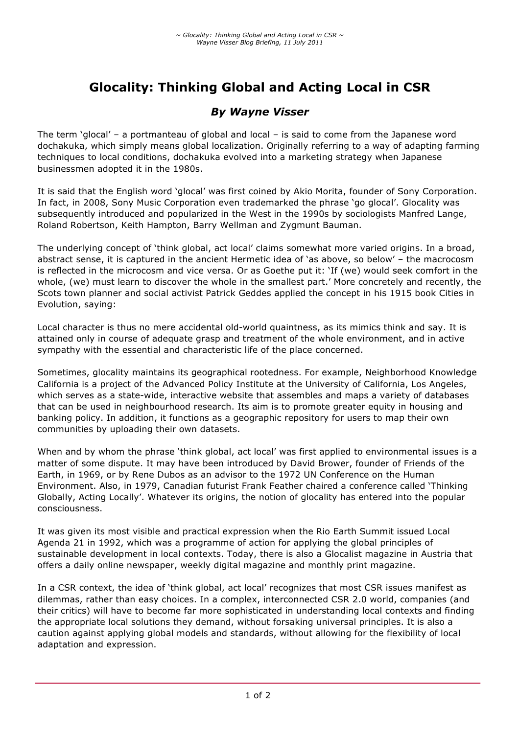# **Glocality: Thinking Global and Acting Local in CSR**

# *By Wayne Visser*

The term 'glocal' – a portmanteau of global and local – is said to come from the Japanese word dochakuka, which simply means global localization. Originally referring to a way of adapting farming techniques to local conditions, dochakuka evolved into a marketing strategy when Japanese businessmen adopted it in the 1980s.

It is said that the English word 'glocal' was first coined by Akio Morita, founder of Sony Corporation. In fact, in 2008, Sony Music Corporation even trademarked the phrase 'go glocal'. Glocality was subsequently introduced and popularized in the West in the 1990s by sociologists Manfred Lange, Roland Robertson, Keith Hampton, Barry Wellman and Zygmunt Bauman.

The underlying concept of 'think global, act local' claims somewhat more varied origins. In a broad, abstract sense, it is captured in the ancient Hermetic idea of 'as above, so below' – the macrocosm is reflected in the microcosm and vice versa. Or as Goethe put it: 'If (we) would seek comfort in the whole, (we) must learn to discover the whole in the smallest part.' More concretely and recently, the Scots town planner and social activist Patrick Geddes applied the concept in his 1915 book Cities in Evolution, saying:

Local character is thus no mere accidental old-world quaintness, as its mimics think and say. It is attained only in course of adequate grasp and treatment of the whole environment, and in active sympathy with the essential and characteristic life of the place concerned.

Sometimes, glocality maintains its geographical rootedness. For example, Neighborhood Knowledge California is a project of the Advanced Policy Institute at the University of California, Los Angeles, which serves as a state-wide, interactive website that assembles and maps a variety of databases that can be used in neighbourhood research. Its aim is to promote greater equity in housing and banking policy. In addition, it functions as a geographic repository for users to map their own communities by uploading their own datasets.

When and by whom the phrase 'think global, act local' was first applied to environmental issues is a matter of some dispute. It may have been introduced by David Brower, founder of Friends of the Earth, in 1969, or by Rene Dubos as an advisor to the 1972 UN Conference on the Human Environment. Also, in 1979, Canadian futurist Frank Feather chaired a conference called 'Thinking Globally, Acting Locally'. Whatever its origins, the notion of glocality has entered into the popular consciousness.

It was given its most visible and practical expression when the Rio Earth Summit issued Local Agenda 21 in 1992, which was a programme of action for applying the global principles of sustainable development in local contexts. Today, there is also a Glocalist magazine in Austria that offers a daily online newspaper, weekly digital magazine and monthly print magazine.

In a CSR context, the idea of 'think global, act local' recognizes that most CSR issues manifest as dilemmas, rather than easy choices. In a complex, interconnected CSR 2.0 world, companies (and their critics) will have to become far more sophisticated in understanding local contexts and finding the appropriate local solutions they demand, without forsaking universal principles. It is also a caution against applying global models and standards, without allowing for the flexibility of local adaptation and expression.